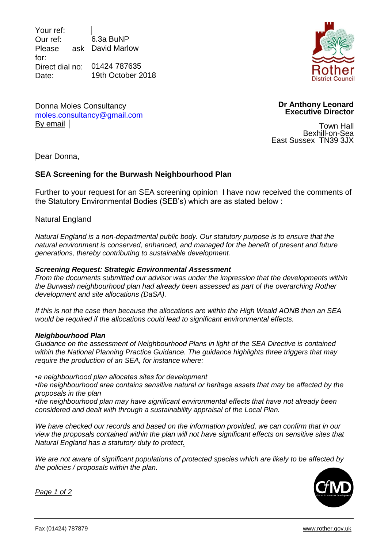Your ref: Our ref: Please for: Direct dial no: 01424 787635 Date: 6.3a BuNP ask David Marlow 19th October 2018

Donna Moles Consultancy moles.consultancy@gmail.com



**Dr Anthony Leonard Executive Director** 

Town Hall Bexhill-on-Sea East Sussex TN39 3JX

Dear Donna,

By email

# **SEA Screening for the Burwash Neighbourhood Plan**

Further to your request for an SEA screening opinion I have now received the comments of the Statutory Environmental Bodies (SEB's) which are as stated below :

### Natural England

*Natural England is a non-departmental public body. Our statutory purpose is to ensure that the natural environment is conserved, enhanced, and managed for the benefit of present and future generations, thereby contributing to sustainable development.*

#### *Screening Request: Strategic Environmental Assessment*

*From the documents submitted our advisor was under the impression that the developments within the Burwash neighbourhood plan had already been assessed as part of the overarching Rother development and site allocations (DaSA).*

*If this is not the case then because the allocations are within the High Weald AONB then an SEA would be required if the allocations could lead to significant environmental effects.*

#### *Neighbourhood Plan*

*Guidance on the assessment of Neighbourhood Plans in light of the SEA Directive is contained within the National Planning Practice Guidance. The guidance highlights three triggers that may require the production of an SEA, for instance where:*

*•a neighbourhood plan allocates sites for development*

*•the neighbourhood area contains sensitive natural or heritage assets that may be affected by the proposals in the plan*

*•the neighbourhood plan may have significant environmental effects that have not already been considered and dealt with through a sustainability appraisal of the Local Plan.*

*We have checked our records and based on the information provided, we can confirm that in our view the proposals contained within the plan will not have significant effects on sensitive sites that Natural England has a statutory duty to protect.*

*We are not aware of significant populations of protected species which are likely to be affected by the policies / proposals within the plan.*



*Page 1 of 2*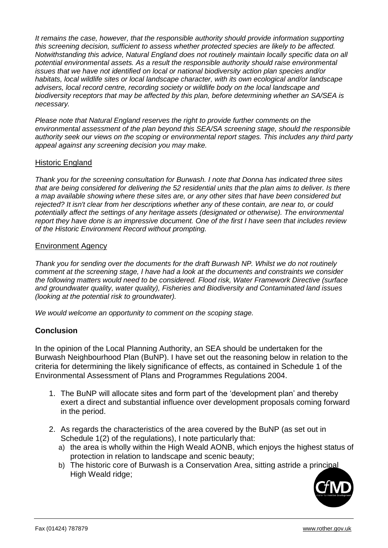*It remains the case, however, that the responsible authority should provide information supporting this screening decision, sufficient to assess whether protected species are likely to be affected. Notwithstanding this advice, Natural England does not routinely maintain locally specific data on all potential environmental assets. As a result the responsible authority should raise environmental issues that we have not identified on local or national biodiversity action plan species and/or habitats, local wildlife sites or local landscape character, with its own ecological and/or landscape advisers, local record centre, recording society or wildlife body on the local landscape and biodiversity receptors that may be affected by this plan, before determining whether an SA/SEA is necessary.*

*Please note that Natural England reserves the right to provide further comments on the environmental assessment of the plan beyond this SEA/SA screening stage, should the responsible authority seek our views on the scoping or environmental report stages. This includes any third party appeal against any screening decision you may make.*

# Historic England

*Thank you for the screening consultation for Burwash. I note that Donna has indicated three sites that are being considered for delivering the 52 residential units that the plan aims to deliver. Is there a map available showing where these sites are, or any other sites that have been considered but rejected? It isn't clear from her descriptions whether any of these contain, are near to, or could potentially affect the settings of any heritage assets (designated or otherwise). The environmental report they have done is an impressive document. One of the first I have seen that includes review of the Historic Environment Record without prompting.*

### Environment Agency

*Thank you for sending over the documents for the draft Burwash NP. Whilst we do not routinely comment at the screening stage, I have had a look at the documents and constraints we consider the following matters would need to be considered. Flood risk, Water Framework Directive (surface and groundwater quality, water quality), Fisheries and Biodiversity and Contaminated land issues (looking at the potential risk to groundwater).*

*We would welcome an opportunity to comment on the scoping stage.* 

## **Conclusion**

In the opinion of the Local Planning Authority, an SEA should be undertaken for the Burwash Neighbourhood Plan (BuNP). I have set out the reasoning below in relation to the criteria for determining the likely significance of effects, as contained in Schedule 1 of the Environmental Assessment of Plans and Programmes Regulations 2004.

- 1. The BuNP will allocate sites and form part of the 'development plan' and thereby exert a direct and substantial influence over development proposals coming forward in the period.
- 2. As regards the characteristics of the area covered by the BuNP (as set out in Schedule 1(2) of the regulations), I note particularly that:
	- a) the area is wholly within the High Weald AONB, which enjoys the highest status of protection in relation to landscape and scenic beauty;
	- b) The historic core of Burwash is a Conservation Area, sitting astride a principal High Weald ridge;